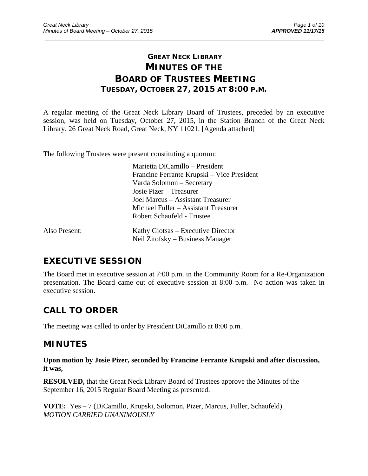# **GREAT NECK LIBRARY MINUTES OF THE BOARD OF TRUSTEES MEETING TUESDAY, OCTOBER 27, 2015 AT 8:00 P.M.**

\_\_\_\_\_\_\_\_\_\_\_\_\_\_\_\_\_\_\_\_\_\_\_\_\_\_\_\_\_\_\_\_\_\_\_\_\_\_\_\_\_\_\_\_\_\_\_\_\_\_\_\_\_\_\_\_\_\_\_\_\_\_\_\_\_\_\_\_\_\_\_\_\_\_\_\_\_\_\_\_\_\_\_\_\_\_\_\_\_\_\_\_\_

A regular meeting of the Great Neck Library Board of Trustees, preceded by an executive session, was held on Tuesday, October 27, 2015, in the Station Branch of the Great Neck Library, 26 Great Neck Road, Great Neck, NY 11021. [Agenda attached]

The following Trustees were present constituting a quorum:

 Marietta DiCamillo – President Francine Ferrante Krupski – Vice President Varda Solomon – Secretary Josie Pizer – Treasurer Joel Marcus – Assistant Treasurer Michael Fuller – Assistant Treasurer Robert Schaufeld - Trustee

## Also Present: Kathy Giotsas – Executive Director Neil Zitofsky – Business Manager

# **EXECUTIVE SESSION**

The Board met in executive session at 7:00 p.m. in the Community Room for a Re-Organization presentation. The Board came out of executive session at 8:00 p.m. No action was taken in executive session.

# **CALL TO ORDER**

The meeting was called to order by President DiCamillo at 8:00 p.m.

## **MINUTES**

**Upon motion by Josie Pizer, seconded by Francine Ferrante Krupski and after discussion, it was,** 

**RESOLVED,** that the Great Neck Library Board of Trustees approve the Minutes of the September 16, 2015 Regular Board Meeting as presented.

**VOTE:** Yes – 7 (DiCamillo, Krupski, Solomon, Pizer, Marcus, Fuller, Schaufeld) *MOTION CARRIED UNANIMOUSLY*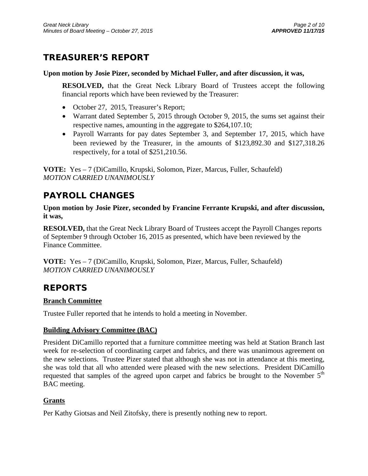# **TREASURER'S REPORT**

## **Upon motion by Josie Pizer, seconded by Michael Fuller, and after discussion, it was,**

**RESOLVED,** that the Great Neck Library Board of Trustees accept the following financial reports which have been reviewed by the Treasurer:

- October 27, 2015, Treasurer's Report;
- Warrant dated September 5, 2015 through October 9, 2015, the sums set against their respective names, amounting in the aggregate to \$264,107.10;
- Payroll Warrants for pay dates September 3, and September 17, 2015, which have been reviewed by the Treasurer, in the amounts of \$123,892.30 and \$127,318.26 respectively, for a total of \$251,210.56.

**VOTE:** Yes – 7 (DiCamillo, Krupski, Solomon, Pizer, Marcus, Fuller, Schaufeld) *MOTION CARRIED UNANIMOUSLY* 

# **PAYROLL CHANGES**

## **Upon motion by Josie Pizer, seconded by Francine Ferrante Krupski, and after discussion, it was,**

**RESOLVED,** that the Great Neck Library Board of Trustees accept the Payroll Changes reports of September 9 through October 16, 2015 as presented, which have been reviewed by the Finance Committee.

**VOTE:** Yes – 7 (DiCamillo, Krupski, Solomon, Pizer, Marcus, Fuller, Schaufeld) *MOTION CARRIED UNANIMOUSLY* 

# **REPORTS**

## **Branch Committee**

Trustee Fuller reported that he intends to hold a meeting in November.

## **Building Advisory Committee (BAC)**

President DiCamillo reported that a furniture committee meeting was held at Station Branch last week for re-selection of coordinating carpet and fabrics, and there was unanimous agreement on the new selections. Trustee Pizer stated that although she was not in attendance at this meeting, she was told that all who attended were pleased with the new selections. President DiCamillo requested that samples of the agreed upon carpet and fabrics be brought to the November  $5<sup>th</sup>$ BAC meeting.

## **Grants**

Per Kathy Giotsas and Neil Zitofsky, there is presently nothing new to report.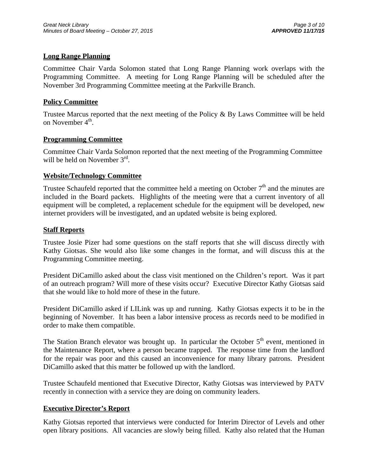## **Long Range Planning**

Committee Chair Varda Solomon stated that Long Range Planning work overlaps with the Programming Committee. A meeting for Long Range Planning will be scheduled after the November 3rd Programming Committee meeting at the Parkville Branch.

## **Policy Committee**

Trustee Marcus reported that the next meeting of the Policy & By Laws Committee will be held on November  $4^{\text{th}}$ .

## **Programming Committee**

Committee Chair Varda Solomon reported that the next meeting of the Programming Committee will be held on November  $3<sup>rd</sup>$ .

## **Website/Technology Committee**

Trustee Schaufeld reported that the committee held a meeting on October  $7<sup>th</sup>$  and the minutes are included in the Board packets. Highlights of the meeting were that a current inventory of all equipment will be completed, a replacement schedule for the equipment will be developed, new internet providers will be investigated, and an updated website is being explored.

## **Staff Reports**

Trustee Josie Pizer had some questions on the staff reports that she will discuss directly with Kathy Giotsas. She would also like some changes in the format, and will discuss this at the Programming Committee meeting.

President DiCamillo asked about the class visit mentioned on the Children's report. Was it part of an outreach program? Will more of these visits occur? Executive Director Kathy Giotsas said that she would like to hold more of these in the future.

President DiCamillo asked if LILink was up and running. Kathy Giotsas expects it to be in the beginning of November. It has been a labor intensive process as records need to be modified in order to make them compatible.

The Station Branch elevator was brought up. In particular the October  $5<sup>th</sup>$  event, mentioned in the Maintenance Report, where a person became trapped. The response time from the landlord for the repair was poor and this caused an inconvenience for many library patrons. President DiCamillo asked that this matter be followed up with the landlord.

Trustee Schaufeld mentioned that Executive Director, Kathy Giotsas was interviewed by PATV recently in connection with a service they are doing on community leaders.

## **Executive Director's Report**

Kathy Giotsas reported that interviews were conducted for Interim Director of Levels and other open library positions. All vacancies are slowly being filled. Kathy also related that the Human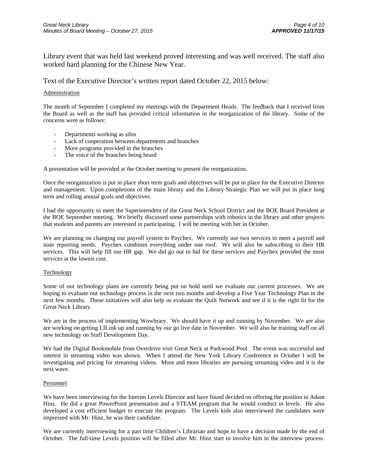Library event that was held last weekend proved interesting and was well received. The staff also worked hard planning for the Chinese New Year.

Text of the Executive Director's written report dated October 22, 2015 below:

#### **Administration**

The month of September I completed my meetings with the Department Heads. The feedback that I received from the Board as well as the staff has provided critical information in the reorganization of the library. Some of the concerns were as follows:

- Departments working as silos
- Lack of cooperation between departments and branches
- More programs provided in the branches
- The voice of the branches being heard

A presentation will be provided at the October meeting to present the reorganization.

Once the reorganization is put in place short term goals and objectives will be put in place for the Executive Director and management. Upon completions of the main library and the Library Strategic Plan we will put in place long term and rolling annual goals and objectives.

I had the opportunity to meet the Superintendent of the Great Neck School District and the BOE Board President at the BOE September meeting. We briefly discussed some partnerships with robotics in the library and other projects that students and parents are interested in participating. I will be meeting with her in October.

We are planning on changing our payroll system to Paychex. We currently use two services to meet a payroll and state reporting needs. Paychex combines everything under one roof. We will also be subscribing to their HR services. This will help fill our HR gap. We did go out to bid for these services and Paychex provided the most services at the lowest cost.

#### Technology

Some of our technology plans are currently being put on hold until we evaluate our current processes. We are hoping to evaluate out technology process in the next two months and develop a Five Year Technology Plan in the next few months. These initiatives will also help us evaluate the Quilt Network and see if it is the right fit for the Great Neck Library.

We are in the process of implementing Wowbrary. We should have it up and running by November. We are also are working on getting LILink up and running by our go live date in November. We will also be training staff on all new technology on Staff Development Day.

We had the Digital Bookmobile from Overdrive visit Great Neck at Parkwood Pool. The event was successful and interest in streaming video was shown. When I attend the New York Library Conference in October I will be investigating and pricing for streaming videos. More and more libraries are pursuing streaming video and it is the next wave.

#### Personnel

We have been interviewing for the Interim Levels Director and have found decided on offering the position to Adam Hinz. He did a great PowerPoint presentation and a STEAM program that he would conduct in levels. He also developed a cost efficient budget to execute the program. The Levels kids also interviewed the candidates were impressed with Mr. Hinz, he was their candidate.

We are currently interviewing for a part time Children's Librarian and hope to have a decision made by the end of October. The full-time Levels position will be filled after Mr. Hinz start to involve him in the interview process.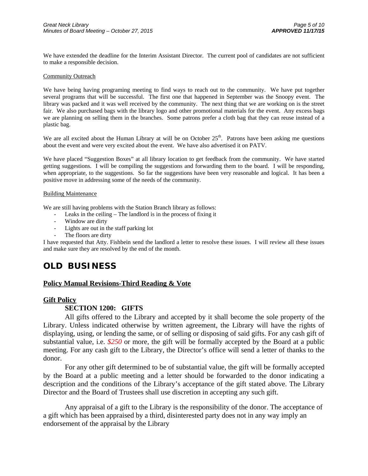We have extended the deadline for the Interim Assistant Director. The current pool of candidates are not sufficient to make a responsible decision.

#### Community Outreach

We have being having programing meeting to find ways to reach out to the community. We have put together several programs that will be successful. The first one that happened in September was the Snoopy event. The library was packed and it was well received by the community. The next thing that we are working on is the street fair. We also purchased bags with the library logo and other promotional materials for the event. Any excess bags we are planning on selling them in the branches. Some patrons prefer a cloth bag that they can reuse instead of a plastic bag.

We are all excited about the Human Library at will be on October  $25<sup>th</sup>$ . Patrons have been asking me questions about the event and were very excited about the event. We have also advertised it on PATV.

We have placed "Suggestion Boxes" at all library location to get feedback from the community. We have started getting suggestions. I will be compiling the suggestions and forwarding them to the board. I will be responding, when appropriate, to the suggestions. So far the suggestions have been very reasonable and logical. It has been a positive move in addressing some of the needs of the community.

#### Building Maintenance

We are still having problems with the Station Branch library as follows:

- Leaks in the ceiling The landlord is in the process of fixing it
	- Window are dirty
	- Lights are out in the staff parking lot
	- The floors are dirty

I have requested that Atty. Fishbein send the landlord a letter to resolve these issues. I will review all these issues and make sure they are resolved by the end of the month.

## **OLD BUSINESS**

#### **Policy Manual Revisions-Third Reading & Vote**

#### **Gift Policy**

#### **SECTION 1200: GIFTS**

All gifts offered to the Library and accepted by it shall become the sole property of the Library. Unless indicated otherwise by written agreement, the Library will have the rights of displaying, using, or lending the same, or of selling or disposing of said gifts. For any cash gift of substantial value, i.e. *\$250* or more, the gift will be formally accepted by the Board at a public meeting. For any cash gift to the Library, the Director's office will send a letter of thanks to the donor.

For any other gift determined to be of substantial value, the gift will be formally accepted by the Board at a public meeting and a letter should be forwarded to the donor indicating a description and the conditions of the Library's acceptance of the gift stated above. The Library Director and the Board of Trustees shall use discretion in accepting any such gift.

Any appraisal of a gift to the Library is the responsibility of the donor. The acceptance of a gift which has been appraised by a third, disinterested party does not in any way imply an endorsement of the appraisal by the Library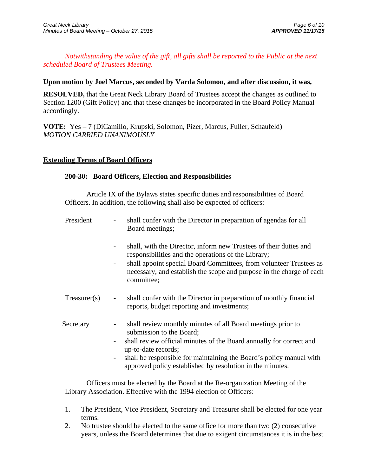*Notwithstanding the value of the gift, all gifts shall be reported to the Public at the next scheduled Board of Trustees Meeting.* 

## **Upon motion by Joel Marcus, seconded by Varda Solomon, and after discussion, it was,**

**RESOLVED,** that the Great Neck Library Board of Trustees accept the changes as outlined to Section 1200 (Gift Policy) and that these changes be incorporated in the Board Policy Manual accordingly.

**VOTE:** Yes – 7 (DiCamillo, Krupski, Solomon, Pizer, Marcus, Fuller, Schaufeld) *MOTION CARRIED UNANIMOUSLY* 

## **Extending Terms of Board Officers**

## **200-30: Board Officers, Election and Responsibilities**

Article IX of the Bylaws states specific duties and responsibilities of Board Officers. In addition, the following shall also be expected of officers:

- President shall confer with the Director in preparation of agendas for all Board meetings;
	- shall, with the Director, inform new Trustees of their duties and responsibilities and the operations of the Library;
	- shall appoint special Board Committees, from volunteer Trustees as necessary, and establish the scope and purpose in the charge of each committee;
- Treasurer(s) shall confer with the Director in preparation of monthly financial reports, budget reporting and investments;
- Secretary shall review monthly minutes of all Board meetings prior to submission to the Board;
	- shall review official minutes of the Board annually for correct and up-to-date records;
	- shall be responsible for maintaining the Board's policy manual with approved policy established by resolution in the minutes.

Officers must be elected by the Board at the Re-organization Meeting of the Library Association. Effective with the 1994 election of Officers:

- 1. The President, Vice President, Secretary and Treasurer shall be elected for one year terms.
- 2. No trustee should be elected to the same office for more than two (2) consecutive years, unless the Board determines that due to exigent circumstances it is in the best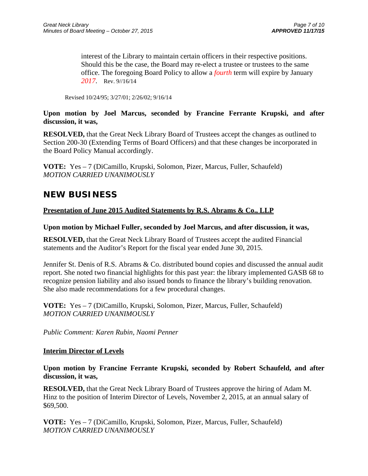interest of the Library to maintain certain officers in their respective positions. Should this be the case, the Board may re-elect a trustee or trustees to the same office. The foregoing Board Policy to allow a *fourth* term will expire by January *2017*. Rev. 9//16/14

Revised 10/24/95; 3/27/01; 2/26/02; 9/16/14

## **Upon motion by Joel Marcus, seconded by Francine Ferrante Krupski, and after discussion, it was,**

**RESOLVED,** that the Great Neck Library Board of Trustees accept the changes as outlined to Section 200-30 (Extending Terms of Board Officers) and that these changes be incorporated in the Board Policy Manual accordingly.

**VOTE:** Yes – 7 (DiCamillo, Krupski, Solomon, Pizer, Marcus, Fuller, Schaufeld) *MOTION CARRIED UNANIMOUSLY* 

## **NEW BUSINESS**

## **Presentation of June 2015 Audited Statements by R.S. Abrams & Co., LLP**

## **Upon motion by Michael Fuller, seconded by Joel Marcus, and after discussion, it was,**

**RESOLVED,** that the Great Neck Library Board of Trustees accept the audited Financial statements and the Auditor's Report for the fiscal year ended June 30, 2015.

Jennifer St. Denis of R.S. Abrams & Co. distributed bound copies and discussed the annual audit report. She noted two financial highlights for this past year: the library implemented GASB 68 to recognize pension liability and also issued bonds to finance the library's building renovation. She also made recommendations for a few procedural changes.

**VOTE:** Yes – 7 (DiCamillo, Krupski, Solomon, Pizer, Marcus, Fuller, Schaufeld) *MOTION CARRIED UNANIMOUSLY* 

*Public Comment: Karen Rubin, Naomi Penner* 

## **Interim Director of Levels**

**Upon motion by Francine Ferrante Krupski, seconded by Robert Schaufeld, and after discussion, it was,** 

**RESOLVED,** that the Great Neck Library Board of Trustees approve the hiring of Adam M. Hinz to the position of Interim Director of Levels, November 2, 2015, at an annual salary of \$69,500.

**VOTE:** Yes – 7 (DiCamillo, Krupski, Solomon, Pizer, Marcus, Fuller, Schaufeld) *MOTION CARRIED UNANIMOUSLY*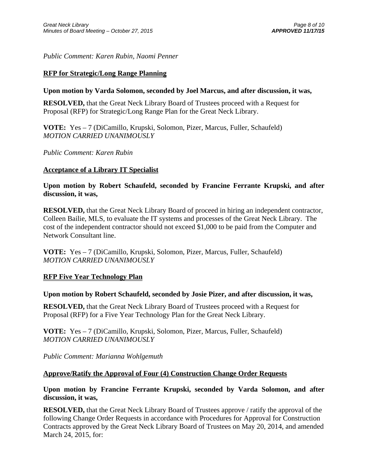*Public Comment: Karen Rubin, Naomi Penner* 

## **RFP for Strategic/Long Range Planning**

### **Upon motion by Varda Solomon, seconded by Joel Marcus, and after discussion, it was,**

**RESOLVED,** that the Great Neck Library Board of Trustees proceed with a Request for Proposal (RFP) for Strategic/Long Range Plan for the Great Neck Library.

**VOTE:** Yes – 7 (DiCamillo, Krupski, Solomon, Pizer, Marcus, Fuller, Schaufeld) *MOTION CARRIED UNANIMOUSLY* 

*Public Comment: Karen Rubin* 

## **Acceptance of a Library IT Specialist**

**Upon motion by Robert Schaufeld, seconded by Francine Ferrante Krupski, and after discussion, it was,** 

**RESOLVED,** that the Great Neck Library Board of proceed in hiring an independent contractor, Colleen Bailie, MLS, to evaluate the IT systems and processes of the Great Neck Library. The cost of the independent contractor should not exceed \$1,000 to be paid from the Computer and Network Consultant line.

**VOTE:** Yes – 7 (DiCamillo, Krupski, Solomon, Pizer, Marcus, Fuller, Schaufeld) *MOTION CARRIED UNANIMOUSLY* 

## **RFP Five Year Technology Plan**

## **Upon motion by Robert Schaufeld, seconded by Josie Pizer, and after discussion, it was,**

**RESOLVED,** that the Great Neck Library Board of Trustees proceed with a Request for Proposal (RFP) for a Five Year Technology Plan for the Great Neck Library.

**VOTE:** Yes – 7 (DiCamillo, Krupski, Solomon, Pizer, Marcus, Fuller, Schaufeld) *MOTION CARRIED UNANIMOUSLY* 

*Public Comment: Marianna Wohlgemuth* 

## **Approve/Ratify the Approval of Four (4) Construction Change Order Requests**

## **Upon motion by Francine Ferrante Krupski, seconded by Varda Solomon, and after discussion, it was,**

**RESOLVED,** that the Great Neck Library Board of Trustees approve / ratify the approval of the following Change Order Requests in accordance with Procedures for Approval for Construction Contracts approved by the Great Neck Library Board of Trustees on May 20, 2014, and amended March 24, 2015, for: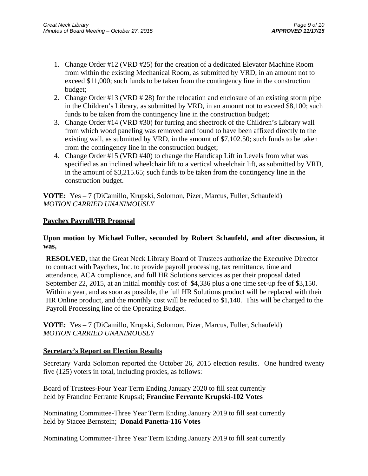- 1. Change Order #12 (VRD #25) for the creation of a dedicated Elevator Machine Room from within the existing Mechanical Room, as submitted by VRD, in an amount not to exceed \$11,000; such funds to be taken from the contingency line in the construction budget;
- 2. Change Order #13 (VRD # 28) for the relocation and enclosure of an existing storm pipe in the Children's Library, as submitted by VRD, in an amount not to exceed \$8,100; such funds to be taken from the contingency line in the construction budget;
- 3. Change Order #14 (VRD #30) for furring and sheetrock of the Children's Library wall from which wood paneling was removed and found to have been affixed directly to the existing wall, as submitted by VRD, in the amount of \$7,102.50; such funds to be taken from the contingency line in the construction budget;
- 4. Change Order #15 (VRD #40) to change the Handicap Lift in Levels from what was specified as an inclined wheelchair lift to a vertical wheelchair lift, as submitted by VRD, in the amount of \$3,215.65; such funds to be taken from the contingency line in the construction budget.

**VOTE:** Yes – 7 (DiCamillo, Krupski, Solomon, Pizer, Marcus, Fuller, Schaufeld) *MOTION CARRIED UNANIMOUSLY* 

## **Paychex Payroll/HR Proposal**

## **Upon motion by Michael Fuller, seconded by Robert Schaufeld, and after discussion, it was,**

**RESOLVED,** that the Great Neck Library Board of Trustees authorize the Executive Director to contract with Paychex, Inc. to provide payroll processing, tax remittance, time and attendance, ACA compliance, and full HR Solutions services as per their proposal dated September 22, 2015, at an initial monthly cost of \$4,336 plus a one time set-up fee of \$3,150. Within a year, and as soon as possible, the full HR Solutions product will be replaced with their HR Online product, and the monthly cost will be reduced to \$1,140. This will be charged to the Payroll Processing line of the Operating Budget.

**VOTE:** Yes – 7 (DiCamillo, Krupski, Solomon, Pizer, Marcus, Fuller, Schaufeld) *MOTION CARRIED UNANIMOUSLY* 

## **Secretary's Report on Election Results**

Secretary Varda Solomon reported the October 26, 2015 election results. One hundred twenty five (125) voters in total, including proxies, as follows:

Board of Trustees-Four Year Term Ending January 2020 to fill seat currently held by Francine Ferrante Krupski; **Francine Ferrante Krupski-102 Votes** 

Nominating Committee-Three Year Term Ending January 2019 to fill seat currently held by Stacee Bernstein; **Donald Panetta-116 Votes** 

Nominating Committee-Three Year Term Ending January 2019 to fill seat currently